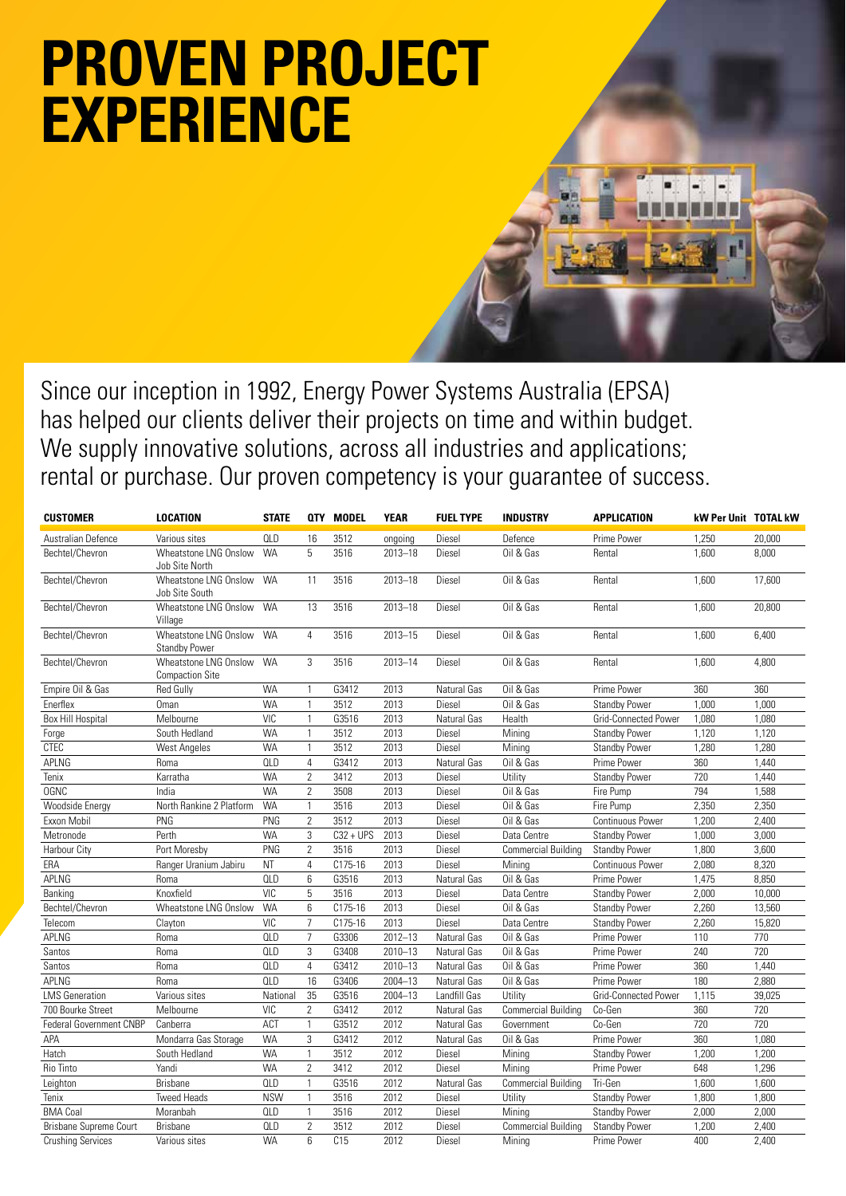## **PROVEN PROJECT EXPERIENCE**

Since our inception in 1992, Energy Power Systems Australia (EPSA) has helped our clients deliver their projects on time and within budget. We supply innovative solutions, across all industries and applications; rental or purchase. Our proven competency is your guarantee of success.

| <b>CUSTOMER</b>               | <b>LOCATION</b>                                 | <b>STATE</b> |                | <b>QTY MODEL</b> | <b>YEAR</b> | <b>FUEL TYPE</b> | <b>INDUSTRY</b>            | <b>APPLICATION</b>      | kW Per Unit TOTAL kW |                  |
|-------------------------------|-------------------------------------------------|--------------|----------------|------------------|-------------|------------------|----------------------------|-------------------------|----------------------|------------------|
| Australian Defence            | Various sites                                   | <b>QLD</b>   | 16             | 3512             | ongoing     | Diesel           | Defence                    | Prime Power             | 1.250                | 20,000           |
| Bechtel/Chevron               | Wheatstone LNG Onslow<br>Job Site North         | <b>WA</b>    | 5              | 3516             | $2013 - 18$ | Diesel           | Oil & Gas                  | Rental                  | 1,600                | 8,000            |
| Bechtel/Chevron               | Wheatstone LNG Onslow<br>Job Site South         | <b>WA</b>    | 11             | 3516             | $2013 - 18$ | Diesel           | Oil & Gas                  | Rental                  | 1,600                | 17,600           |
| Bechtel/Chevron               | Wheatstone LNG Onslow<br>Village                | <b>WA</b>    | 13             | 3516             | $2013 - 18$ | Diesel           | Oil & Gas                  | Rental                  | 1.600                | 20,800           |
| Bechtel/Chevron               | Wheatstone LNG Onslow<br><b>Standby Power</b>   | <b>WA</b>    | 4              | 3516             | 2013-15     | Diesel           | Oil & Gas                  | Rental                  | 1,600                | 6,400            |
| Bechtel/Chevron               | Wheatstone LNG Onslow<br><b>Compaction Site</b> | <b>WA</b>    | 3              | 3516             | $2013 - 14$ | Diesel           | Oil & Gas                  | Rental                  | 1,600                | 4,800            |
| Empire Oil & Gas              | <b>Red Gully</b>                                | <b>WA</b>    | $\mathbf{1}$   | G3412            | 2013        | Natural Gas      | Oil & Gas                  | Prime Power             | 360                  | 360              |
| Enerflex                      | Oman                                            | <b>WA</b>    | $\mathbf{1}$   | 3512             | 2013        | Diesel           | Oil & Gas                  | <b>Standby Power</b>    | 1,000                | 1,000            |
| <b>Box Hill Hospital</b>      | Melbourne                                       | VIC          | $\mathbf{1}$   | G3516            | 2013        | Natural Gas      | Health                     | Grid-Connected Power    | 1,080                | 1,080            |
| Forge                         | South Hedland                                   | <b>WA</b>    | $\mathbf{1}$   | 3512             | 2013        | Diesel           | Mining                     | <b>Standby Power</b>    | 1,120                | 1,120            |
| <b>CTEC</b>                   | <b>West Angeles</b>                             | <b>WA</b>    | $\mathbf{1}$   | 3512             | 2013        | Diesel           | Mining                     | <b>Standby Power</b>    | 1,280                | 1,280            |
| APLNG                         | Roma                                            | <b>QLD</b>   | $\overline{4}$ | G3412            | 2013        | Natural Gas      | Oil & Gas                  | Prime Power             | 360                  | 1,440            |
| Tenix                         | Karratha                                        | <b>WA</b>    | $\overline{2}$ | 3412             | 2013        | Diesel           | Utility                    | <b>Standby Power</b>    | 720                  | 1,440            |
| <b>OGNC</b>                   | India                                           | <b>WA</b>    | $\overline{2}$ | 3508             | 2013        | Diesel           | Oil & Gas                  | Fire Pump               | 794                  | 1,588            |
| Woodside Energy               | North Rankine 2 Platform                        | <b>WA</b>    | $\mathbf{1}$   | 3516             | 2013        | Diesel           | Oil & Gas                  | Fire Pump               | 2,350                | 2,350            |
| Exxon Mobil                   | PNG                                             | PNG          | $\overline{2}$ | 3512             | 2013        | Diesel           | Oil & Gas                  | <b>Continuous Power</b> | 1,200                | 2,400            |
| Metronode                     | Perth                                           | <b>WA</b>    | 3              | $C32 + UPS$      | 2013        | Diesel           | Data Centre                | <b>Standby Power</b>    | 1,000                | 3,000            |
| Harbour City                  | Port Moresby                                    | PNG          | $\overline{2}$ | 3516             | 2013        | Diesel           | <b>Commercial Building</b> | <b>Standby Power</b>    | 1,800                | 3,600            |
| ERA                           | Ranger Uranium Jabiru                           | NT           | $\overline{4}$ | C175-16          | 2013        | Diesel           | Mining                     | <b>Continuous Power</b> | 2,080                | 8,320            |
| APLNG                         | Roma                                            | <b>QLD</b>   | 6              | G3516            | 2013        | Natural Gas      | Oil & Gas                  | Prime Power             | 1,475                | 8,850            |
| Banking                       | Knoxfield                                       | <b>VIC</b>   | 5              | 3516             | 2013        | Diesel           | Data Centre                | <b>Standby Power</b>    | 2,000                | 10,000           |
| Bechtel/Chevron               | Wheatstone LNG Onslow                           | <b>WA</b>    | $6\phantom{1}$ | C175-16          | 2013        | Diesel           | Oil & Gas                  | <b>Standby Power</b>    | 2,260                | 13,560           |
| Telecom                       | Clayton                                         | <b>VIC</b>   | $\overline{7}$ | C175-16          | 2013        | Diesel           | Data Centre                | <b>Standby Power</b>    | 2,260                | 15,820           |
| APLNG                         | Roma                                            | <b>QLD</b>   | $\overline{7}$ | G3306            | $2012 - 13$ | Natural Gas      | Oil & Gas                  | Prime Power             | 110                  | $\overline{770}$ |
| Santos                        | Roma                                            | <b>QLD</b>   | 3              | G3408            | $2010 - 13$ | Natural Gas      | Oil & Gas                  | Prime Power             | 240                  | 720              |
| Santos                        | Roma                                            | <b>QLD</b>   | $\overline{4}$ | G3412            | $2010 - 13$ | Natural Gas      | Oil & Gas                  | Prime Power             | 360                  | 1,440            |
| APLNG                         | Roma                                            | <b>QLD</b>   | 16             | G3406            | 2004-13     | Natural Gas      | Oil & Gas                  | Prime Power             | 180                  | 2,880            |
| <b>LMS</b> Generation         | Various sites                                   | National     | 35             | G3516            | $2004 - 13$ | Landfill Gas     | Utility                    | Grid-Connected Power    | 1,115                | 39,025           |
| 700 Bourke Street             | Melbourne                                       | <b>VIC</b>   | $\overline{2}$ | G3412            | 2012        | Natural Gas      | <b>Commercial Building</b> | Co-Gen                  | 360                  | 720              |
| Federal Government CNBP       | Canberra                                        | ACT          | $\mathbf{1}$   | G3512            | 2012        | Natural Gas      | Government                 | Co-Gen                  | 720                  | 720              |
| APA                           | Mondarra Gas Storage                            | <b>WA</b>    | 3              | G3412            | 2012        | Natural Gas      | Oil & Gas                  | Prime Power             | 360                  | 1,080            |
| Hatch                         | South Hedland                                   | <b>WA</b>    | $\mathbf{1}$   | 3512             | 2012        | Diesel           | Mining                     | <b>Standby Power</b>    | 1,200                | 1,200            |
| Rio Tinto                     | Yandi                                           | <b>WA</b>    | $\overline{2}$ | 3412             | 2012        | Diesel           | Mining                     | Prime Power             | 648                  | 1,296            |
| Leighton                      | <b>Brisbane</b>                                 | <b>QLD</b>   | $\mathbf{1}$   | G3516            | 2012        | Natural Gas      | <b>Commercial Building</b> | Tri-Gen                 | 1,600                | 1,600            |
| Tenix                         | <b>Tweed Heads</b>                              | <b>NSW</b>   | $\mathbf{1}$   | 3516             | 2012        | Diesel           | Utility                    | Standby Power           | 1,800                | 1,800            |
| <b>BMA Coal</b>               | Moranbah                                        | <b>QLD</b>   | $\mathbf{1}$   | 3516             | 2012        | Diesel           | Minina                     | <b>Standby Power</b>    | 2,000                | 2,000            |
| <b>Brisbane Supreme Court</b> | <b>Brisbane</b>                                 | <b>QLD</b>   | $\overline{2}$ | 3512             | 2012        | Diesel           | <b>Commercial Building</b> | <b>Standby Power</b>    | 1,200                | 2,400            |
| <b>Crushing Services</b>      | Various sites                                   | <b>WA</b>    | 6              | C15              | 2012        | Diesel           | Mining                     | Prime Power             | 400                  | 2,400            |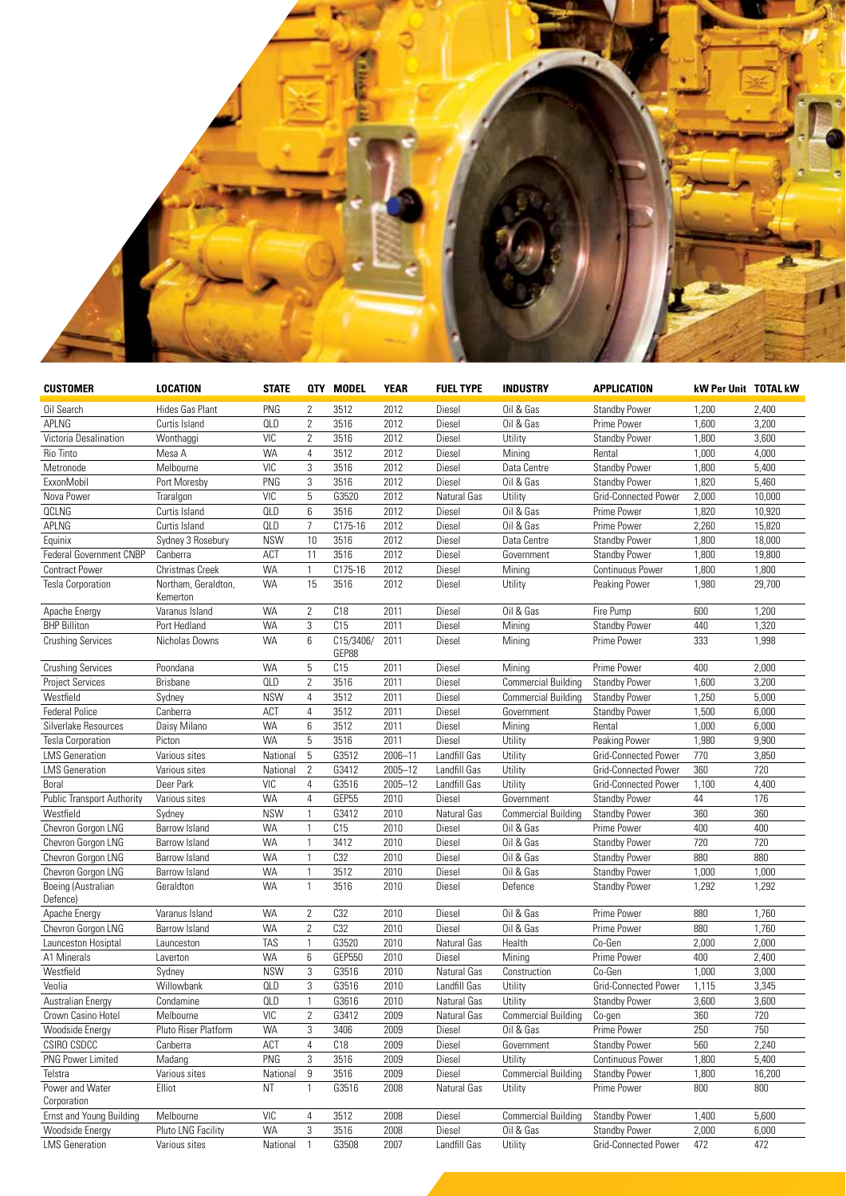

| <b>CUSTOMER</b>                   | <b>LOCATION</b>                 | <b>STATE</b> |                | QTY MODEL          | <b>YEAR</b> | <b>FUEL TYPE</b> | <b>INDUSTRY</b>            | <b>APPLICATION</b>      | kW Per Unit TOTAL kW |        |
|-----------------------------------|---------------------------------|--------------|----------------|--------------------|-------------|------------------|----------------------------|-------------------------|----------------------|--------|
| Oil Search                        | Hides Gas Plant                 | PNG          | $\overline{2}$ | 3512               | 2012        | Diesel           | Oil & Gas                  | <b>Standby Power</b>    | 1,200                | 2,400  |
| APLNG                             | Curtis Island                   | QLD          | $\overline{2}$ | 3516               | 2012        | Diesel           | Oil & Gas                  | Prime Power             | 1,600                | 3,200  |
| Victoria Desalination             | Wonthaggi                       | VIC          | 2              | 3516               | 2012        | Diesel           | Utility                    | <b>Standby Power</b>    | 1,800                | 3,600  |
| Rio Tinto                         | Mesa A                          | <b>WA</b>    | $\overline{4}$ | 3512               | 2012        | Diesel           | Mining                     | Rental                  | 1,000                | 4,000  |
| Metronode                         | Melbourne                       | <b>VIC</b>   | 3              | 3516               | 2012        | Diesel           | Data Centre                | <b>Standby Power</b>    | 1,800                | 5,400  |
| ExxonMobil                        | Port Moresby                    | PNG          | 3              | 3516               | 2012        | Diesel           | Oil & Gas                  | <b>Standby Power</b>    | 1,820                | 5,460  |
| Nova Power                        | Traralgon                       | <b>VIC</b>   | 5              | G3520              | 2012        | Natural Gas      | Utility                    | Grid-Connected Power    | 2,000                | 10,000 |
| <b>QCLNG</b>                      | Curtis Island                   | <b>QLD</b>   | 6              | 3516               | 2012        | Diesel           | Oil & Gas                  | Prime Power             | 1,820                | 10,920 |
| APLNG                             | Curtis Island                   | <b>QLD</b>   | $\overline{7}$ | C175-16            | 2012        | Diesel           | Oil & Gas                  | Prime Power             | 2,260                | 15,820 |
| Equinix                           | Sydney 3 Rosebury               | <b>NSW</b>   | 10             | 3516               | 2012        | Diesel           | Data Centre                | <b>Standby Power</b>    | 1,800                | 18,000 |
| <b>Federal Government CNBP</b>    | Canberra                        | ACT          | 11             | 3516               | 2012        | Diesel           | Government                 | <b>Standby Power</b>    | 1,800                | 19,800 |
| <b>Contract Power</b>             | Christmas Creek                 | <b>WA</b>    | $\mathbf{1}$   | C175-16            | 2012        | Diesel           | Mining                     | <b>Continuous Power</b> | 1,800                | 1,800  |
| <b>Tesla Corporation</b>          | Northam, Geraldton,<br>Kemerton | <b>WA</b>    | 15             | 3516               | 2012        | Diesel           | Utility                    | Peaking Power           | 1,980                | 29,700 |
| Apache Energy                     | Varanus Island                  | <b>WA</b>    | $\overline{2}$ | C18                | 2011        | Diesel           | Oil & Gas                  | Fire Pump               | 600                  | 1,200  |
| <b>BHP Billiton</b>               | Port Hedland                    | <b>WA</b>    | 3              | C15                | 2011        | Diesel           | Mining                     | <b>Standby Power</b>    | 440                  | 1,320  |
| <b>Crushing Services</b>          | Nicholas Downs                  | <b>WA</b>    | 6              | C15/3406/<br>GEP88 | 2011        | Diesel           | Mining                     | Prime Power             | 333                  | 1,998  |
| <b>Crushing Services</b>          | Poondana                        | <b>WA</b>    | 5              | C15                | 2011        | Diesel           | Mining                     | Prime Power             | 400                  | 2,000  |
| <b>Project Services</b>           | <b>Brisbane</b>                 | <b>QLD</b>   | $\overline{2}$ | 3516               | 2011        | Diesel           | <b>Commercial Building</b> | <b>Standby Power</b>    | 1,600                | 3,200  |
| Westfield                         | Sydney                          | <b>NSW</b>   | 4              | 3512               | 2011        | Diesel           | <b>Commercial Building</b> | <b>Standby Power</b>    | 1,250                | 5,000  |
| <b>Federal Police</b>             | Canberra                        | ACT          | 4              | 3512               | 2011        | Diesel           | Government                 | <b>Standby Power</b>    | 1,500                | 6,000  |
| Silverlake Resources              | Daisy Milano                    | WA           | 6              | 3512               | 2011        | Diesel           | Mining                     | Rental                  | 1,000                | 6,000  |
| <b>Tesla Corporation</b>          | Picton                          | <b>WA</b>    | 5              | 3516               | 2011        | Diesel           | Utility                    | Peaking Power           | 1,980                | 9,900  |
| <b>LMS</b> Generation             | Various sites                   | National     | 5              | G3512              | 2006-11     | Landfill Gas     | Utility                    | Grid-Connected Power    | 770                  | 3,850  |
| <b>LMS</b> Generation             | Various sites                   | National     | $\overline{2}$ | G3412              | 2005-12     | Landfill Gas     | Utility                    | Grid-Connected Power    | 360                  | 720    |
| Boral                             | Deer Park                       | <b>VIC</b>   | 4              | G3516              | $2005 - 12$ | Landfill Gas     | Utility                    | Grid-Connected Power    | 1,100                | 4,400  |
| <b>Public Transport Authority</b> | Various sites                   | WA           | $\overline{4}$ | GEP55              | 2010        | Diesel           | Government                 | <b>Standby Power</b>    | 44                   | 176    |
| Westfield                         | Sydney                          | <b>NSW</b>   | 1              | G3412              | 2010        | Natural Gas      | <b>Commercial Building</b> | <b>Standby Power</b>    | 360                  | 360    |
| Chevron Gorgon LNG                | Barrow Island                   | <b>WA</b>    | $\mathbf{1}$   | C15                | 2010        | Diesel           | Oil & Gas                  | Prime Power             | 400                  | 400    |
| Chevron Gorgon LNG                | Barrow Island                   | <b>WA</b>    | $\mathbf{1}$   | 3412               | 2010        | Diesel           | Oil & Gas                  | <b>Standby Power</b>    | 720                  | 720    |
| Chevron Gorgon LNG                | Barrow Island                   | <b>WA</b>    | 1              | C32                | 2010        | Diesel           | Oil & Gas                  | <b>Standby Power</b>    | 880                  | 880    |
| Chevron Gorgon LNG                | Barrow Island                   | <b>WA</b>    | $\mathbf{1}$   | 3512               | 2010        | Diesel           | Oil & Gas                  | <b>Standby Power</b>    | 1,000                | 1,000  |
| Boeing (Australian<br>Defence)    | Geraldton                       | <b>WA</b>    | $\mathbf{1}$   | 3516               | 2010        | Diesel           | Defence                    | <b>Standby Power</b>    | 1,292                | 1,292  |
| Apache Energy                     | Varanus Island                  | <b>WA</b>    | $\overline{2}$ | C32                | 2010        | Diesel           | Oil & Gas                  | Prime Power             | 880                  | 1,760  |
| Chevron Gorgon LNG                | Barrow Island                   | <b>WA</b>    | $\mathbf{2}$   | C <sub>32</sub>    | 2010        | Diesel           | Oil & Gas                  | Prime Power             | 880                  | 1,760  |
| Launceston Hosiptal               | Launceston                      | <b>TAS</b>   | $\mathbf{1}$   | G3520              | 2010        | Natural Gas      | Health                     | Co-Gen                  | 2,000                | 2,000  |
| A1 Minerals                       | Laverton                        | <b>WA</b>    | 6              | <b>GEP550</b>      | 2010        | Diesel           | Mining                     | Prime Power             | 400                  | 2,400  |
| Westfield                         | Sydney                          | <b>NSW</b>   | 3              | G3516              | 2010        | Natural Gas      | Construction               | Co-Gen                  | 1,000                | 3,000  |
| Veolia                            | Willowbank                      | <b>QLD</b>   | 3              | G3516              | 2010        | Landfill Gas     | Utility                    | Grid-Connected Power    | 1,115                | 3,345  |
| Australian Energy                 | Condamine                       | <b>QLD</b>   | $\mathbf{1}$   | G3616              | 2010        | Natural Gas      | Utility                    | <b>Standby Power</b>    | 3,600                | 3,600  |
| Crown Casino Hotel                | Melbourne                       | VIC          | $\mathbf{2}$   | G3412              | 2009        | Natural Gas      | <b>Commercial Building</b> | Co-gen                  | 360                  | 720    |
| Woodside Energy                   | Pluto Riser Platform            | WA           | 3              | 3406               | 2009        | Diesel           | Oil & Gas                  | Prime Power             | 250                  | 750    |
| CSIRO CSDCC                       | Canberra                        | ACT          | 4              | C18                | 2009        | Diesel           | Government                 | <b>Standby Power</b>    | 560                  | 2,240  |
| <b>PNG Power Limited</b>          | Madang                          | PNG          | 3              | 3516               | 2009        | Diesel           | Utility                    | Continuous Power        | 1,800                | 5,400  |
| Telstra                           | Various sites                   | National     | 9              | 3516               | 2009        | Diesel           | <b>Commercial Building</b> | <b>Standby Power</b>    | 1,800                | 16,200 |
| Power and Water                   | Elliot                          | ΝT           | 1              | G3516              | 2008        | Natural Gas      | Utility                    | Prime Power             | 800                  | 800    |
| Corporation                       |                                 |              |                |                    |             |                  |                            |                         |                      |        |
| Ernst and Young Building          | Melbourne                       | VIC          | 4              | 3512               | 2008        | Diesel           | <b>Commercial Building</b> | <b>Standby Power</b>    | 1,400                | 5,600  |
| <b>Woodside Energy</b>            | Pluto LNG Facility              | <b>WA</b>    | 3              | 3516               | 2008        | Diesel           | Oil & Gas                  | <b>Standby Power</b>    | 2,000                | 6,000  |
| <b>LMS</b> Generation             | Various sites                   | National     | $\overline{1}$ | G3508              | 2007        | Landfill Gas     | Utility                    | Grid-Connected Power    | 472                  | 472    |
|                                   |                                 |              |                |                    |             |                  |                            |                         |                      |        |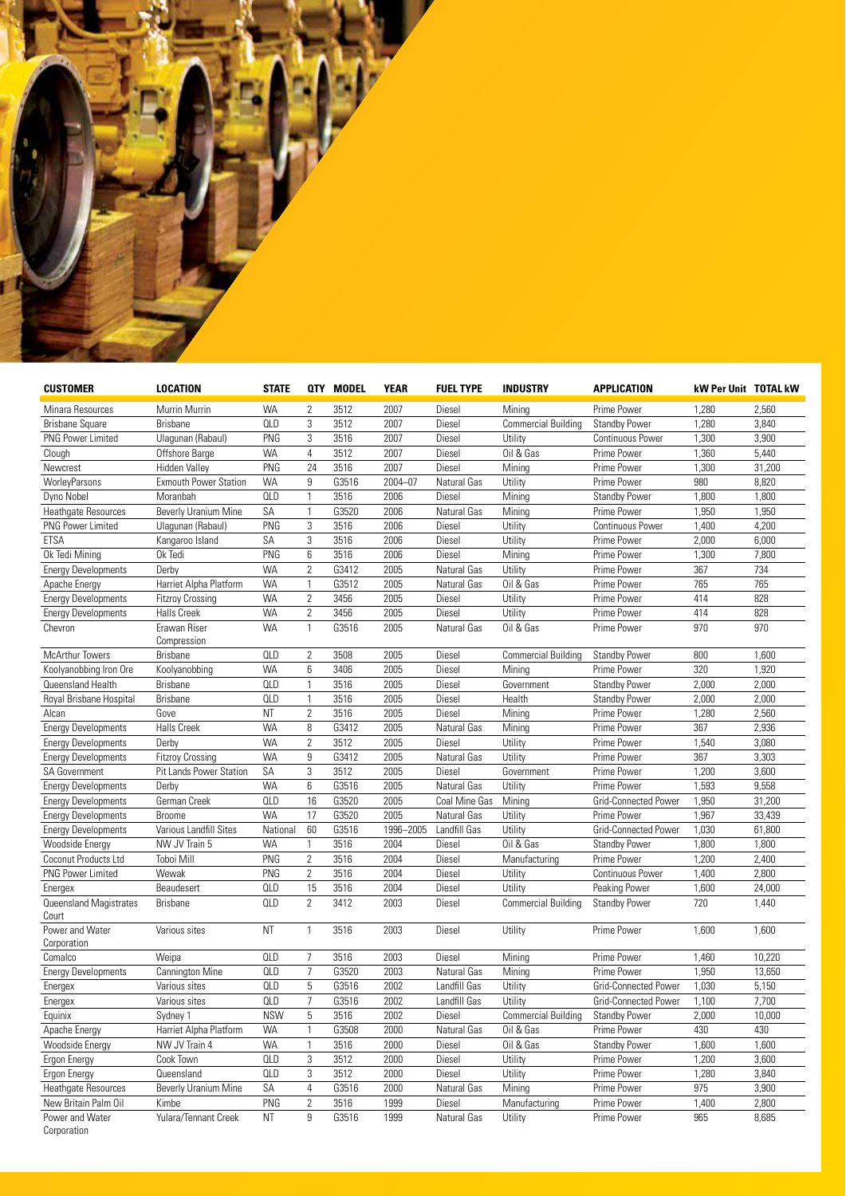

| <b>CUSTOMER</b>            | <b>LOCATION</b>              | <b>STATE</b> |                | <b>QTY MODEL</b> | <b>YEAR</b> | <b>FUEL TYPE</b> | <b>INDUSTRY</b>                   | <b>APPLICATION</b>   | <b>kW Per Unit TOTAL kW</b> |        |
|----------------------------|------------------------------|--------------|----------------|------------------|-------------|------------------|-----------------------------------|----------------------|-----------------------------|--------|
| Minara Resources           | Murrin Murrin                | <b>WA</b>    | 2              | 3512             | 2007        | Diesel           | Mining                            | Prime Power          | 1,280                       | 2,560  |
| <b>Brisbane Square</b>     | <b>Brisbane</b>              | <b>QLD</b>   | 3              | 3512             | 2007        | Diesel           | <b>Commercial Building</b>        | <b>Standby Power</b> | 1,280                       | 3,840  |
| PNG Power Limited          | Ulagunan (Rabaul)            | PNG          | 3              | 3516             | 2007        | Diesel           | Utility                           | Continuous Power     | 1,300                       | 3,900  |
| Clough                     | Offshore Barge               | <b>WA</b>    | $\overline{4}$ | 3512             | 2007        | Diesel           | Oil & Gas                         | Prime Power          | 1,360                       | 5,440  |
| Newcrest                   | Hidden Valley                | PNG          | 24             | 3516             | 2007        | Diesel           | Mining                            | Prime Power          | 1,300                       | 31,200 |
| WorleyParsons              | <b>Exmouth Power Station</b> | <b>WA</b>    | 9              | G3516            | 2004-07     | Natural Gas      | Utility                           | Prime Power          | 980                         | 8,820  |
| Dyno Nobel                 | Moranbah                     | <b>QLD</b>   | 1              | 3516             | 2006        | Diesel           | Mining                            | <b>Standby Power</b> | 1,800                       | 1,800  |
| Heathgate Resources        | Beverly Uranium Mine         | SA           | $\mathbf{1}$   | G3520            | 2006        | Natural Gas      | Mining                            | Prime Power          | 1,950                       | 1,950  |
| PNG Power Limited          | Ulagunan (Rabaul)            | PNG          | 3              | 3516             | 2006        | Diesel           | Utility                           | Continuous Power     | 1,400                       | 4,200  |
| <b>ETSA</b>                | Kangaroo Island              | SA           | 3              | 3516             | 2006        | Diesel           | Utility                           | Prime Power          | 2,000                       | 6,000  |
| Ok Tedi Mining             | Ok Tedi                      | PNG          | 6              | 3516             | 2006        | Diesel           | Mining                            | Prime Power          | 1,300                       | 7,800  |
| <b>Energy Developments</b> | Derby                        | <b>WA</b>    | $\mathbf{2}$   | G3412            | 2005        | Natural Gas      | Utility                           | Prime Power          | 367                         | 734    |
| Apache Energy              | Harriet Alpha Platform       | <b>WA</b>    | 1              | G3512            | 2005        | Natural Gas      | Oil & Gas                         | Prime Power          | 765                         | 765    |
| <b>Energy Developments</b> | <b>Fitzroy Crossing</b>      | <b>WA</b>    | $\overline{2}$ | 3456             | 2005        | Diesel           | Utility                           | Prime Power          | 414                         | 828    |
| <b>Energy Developments</b> | <b>Halls Creek</b>           | <b>WA</b>    | $\mathbf{2}$   | 3456             | 2005        | Diesel           | Utility                           | Prime Power          | 414                         | 828    |
| Chevron                    | Erawan Riser                 | <b>WA</b>    | 1              | G3516            | 2005        | Natural Gas      | Oil & Gas                         | Prime Power          | 970                         | 970    |
|                            | Compression                  |              |                |                  |             |                  |                                   |                      |                             |        |
| <b>McArthur Towers</b>     | <b>Brisbane</b>              | <b>QLD</b>   | $\overline{2}$ | 3508             | 2005        | Diesel           | <b>Commercial Building</b>        | <b>Standby Power</b> | 800                         | 1,600  |
| Koolyanobbing Iron Ore     | Koolyanobbing                | <b>WA</b>    | 6              | 3406             | 2005        | Diesel           | Mining                            | Prime Power          | 320                         | 1,920  |
| Queensland Health          | <b>Brisbane</b>              | <b>QLD</b>   | $\mathbf{1}$   | 3516             | 2005        | Diesel           | Government                        | <b>Standby Power</b> | 2,000                       | 2,000  |
| Royal Brisbane Hospital    | Brisbane                     | <b>QLD</b>   | $\mathbf{1}$   | 3516             | 2005        | Diesel           | Health                            | <b>Standby Power</b> | 2,000                       | 2,000  |
| Alcan                      | Gove                         | <b>NT</b>    | $\overline{2}$ | 3516             | 2005        | Diesel           | Mining                            | Prime Power          | 1,280                       | 2,560  |
| <b>Energy Developments</b> | <b>Halls Creek</b>           | <b>WA</b>    | 8              | G3412            | 2005        | Natural Gas      | Mining                            | Prime Power          | 367                         | 2,936  |
| <b>Energy Developments</b> | Derby                        | <b>WA</b>    | $\overline{2}$ | 3512             | 2005        | Diesel           | Utility                           | Prime Power          | 1,540                       | 3,080  |
| <b>Energy Developments</b> | <b>Fitzroy Crossing</b>      | <b>WA</b>    | 9              | G3412            | 2005        | Natural Gas      | Utility                           | Prime Power          | 367                         | 3,303  |
| SA Government              | Pit Lands Power Station      | SA           | 3              | 3512             | 2005        | Diesel           | Government                        | Prime Power          | 1,200                       | 3,600  |
| <b>Energy Developments</b> | Derby                        | <b>WA</b>    | 6              | G3516            | 2005        | Natural Gas      | Utility                           | Prime Power          | 1,593                       | 9,558  |
| <b>Energy Developments</b> | German Creek                 | <b>QLD</b>   | 16             | G3520            | 2005        | Coal Mine Gas    | Mining                            | Grid-Connected Power | 1,950                       | 31,200 |
| <b>Energy Developments</b> | <b>Broome</b>                | <b>WA</b>    | 17             | G3520            | 2005        | Natural Gas      | Utility                           | Prime Power          | 1,967                       | 33,439 |
| <b>Energy Developments</b> | Various Landfill Sites       | National     | 60             | G3516            | 1996-2005   | Landfill Gas     | Utility                           | Grid-Connected Power | 1,030                       | 61,800 |
| <b>Woodside Energy</b>     | NW JV Train 5                | <b>WA</b>    | $\mathbf{1}$   | 3516             | 2004        | Diesel           | Oil & Gas                         | <b>Standby Power</b> | 1,800                       | 1,800  |
| Coconut Products Ltd       | <b>Toboi Mill</b>            | PNG          | $\mathbf{2}$   | 3516             | 2004        | Diesel           | Manufacturing                     | Prime Power          | 1,200                       | 2,400  |
| <b>PNG Power Limited</b>   | Wewak                        | PNG          | $\mathbf{2}$   | 3516             | 2004        | Diesel           | Utility                           | Continuous Power     | 1,400                       | 2,800  |
| Energex                    | Beaudesert                   | <b>QLD</b>   | 15             | 3516             | 2004        | Diesel           | Utility                           | Peaking Power        | 1,600                       | 24,000 |
| Queensland Magistrates     | <b>Brisbane</b>              | <b>QLD</b>   | $\overline{2}$ | 3412             | 2003        | Diesel           | <b>Commercial Building</b>        | Standby Power        | 720                         | 1,440  |
| Court                      |                              |              |                |                  |             |                  |                                   |                      |                             |        |
| Power and Water            | Various sites                | <b>NT</b>    | $\mathbf{1}$   | 3516             | 2003        | Diesel           | Utility                           | Prime Power          | 1,600                       | 1,600  |
| Corporation                |                              |              |                |                  |             |                  |                                   |                      |                             |        |
| Comalco                    | Weipa                        | <b>QLD</b>   | $\overline{7}$ | 3516             | 2003        | Diesel           | Mining                            | Prime Power          | 1,460                       | 10,220 |
| <b>Energy Developments</b> | Cannington Mine              | <b>QLD</b>   | $\overline{7}$ | G3520            | 2003        | Natural Gas      | Mining                            | Prime Power          | 1,950                       | 13,650 |
| Energex                    | Various sites                | <b>QLD</b>   | 5              | G3516            | 2002        | Landfill Gas     | Utility                           | Grid-Connected Power | 1,030                       | 5,150  |
| Energex                    | Various sites                | <b>QLD</b>   | $\overline{7}$ | G3516            | 2002        | Landfill Gas     | Utility                           | Grid-Connected Power | 1,100                       | 7,700  |
| Equinix                    | Sydney 1                     | <b>NSW</b>   | 5              | 3516             | 2002        | Diesel           | Commercial Building Standby Power |                      | 2,000                       | 10,000 |
| Apache Energy              | Harriet Alpha Platform       | WA           | 1              | G3508            | 2000        | Natural Gas      | Oil & Gas                         | Prime Power          | 430                         | 430    |
| Woodside Energy            | NW JV Train 4                | WA           | 1              | 3516             | 2000        | Diesel           | Oil & Gas                         | <b>Standby Power</b> | 1,600                       | 1,600  |
| Ergon Energy               | Cook Town                    | <b>QLD</b>   | 3              | 3512             | 2000        | Diesel           | Utility                           | Prime Power          | 1,200                       | 3,600  |
| Ergon Energy               | Queensland                   | <b>QLD</b>   | 3              | 3512             | 2000        | Diesel           | Utility                           | Prime Power          | 1,280                       | 3,840  |
| <b>Heathgate Resources</b> | Beverly Uranium Mine         | SA           | 4              | G3516            | 2000        | Natural Gas      | Mining                            | Prime Power          | 975                         | 3,900  |
| New Britain Palm Oil       | Kimbe                        | PNG          | $\overline{2}$ | 3516             | 1999        | Diesel           | Manufacturing                     | Prime Power          | 1,400                       | 2,800  |
| Power and Water            | Yulara/Tennant Creek         | ΝT           | 9              | G3516            | 1999        | Natural Gas      | Utility                           | Prime Power          | 965                         | 8,685  |
| Corporation                |                              |              |                |                  |             |                  |                                   |                      |                             |        |